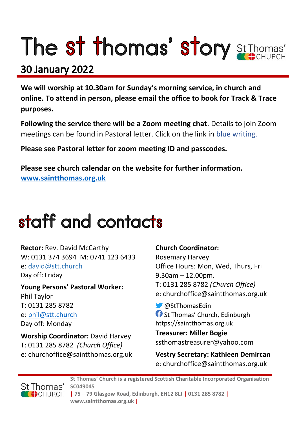# The st thomas' story St Thomas'

### **30 January 2022**

**We will worship at 10.30am for Sunday's morning service, in church and online. To attend in person, please email the office to book for Track & Trace purposes.**

**Following the service there will be a Zoom meeting chat**. Details to join Zoom meetings can be found in Pastoral letter. Click on the link in blue writing.

**Please see Pastoral letter for zoom meeting ID and passcodes.**

**Please see church calendar on the website for further information. [www.saintthomas.org.uk](http://www.saintthomas.org.uk/)**

### staff and contacts

**Rector:** Rev. David McCarthy W: 0131 374 3694 M: 0741 123 6433 e: david@stt.church Day off: Friday

**Young Persons' Pastoral Worker:** Phil Taylor T: 0131 285 8782 e: [phil@stt.church](mailto:phil@stt.church) Day off: Monday

**Worship Coordinator:** David Harvey T: 0131 285 8782 *(Church Office)* e: churchoffice@saintthomas.org.uk

#### **Church Coordinator:**

Rosemary Harvey Office Hours: Mon, Wed, Thurs, Fri 9.30am – 12.00pm. T: 0131 285 8782 *(Church Office)* e: churchoffice@saintthomas.org.uk

@StThomasEdin **f** St Thomas' Church, Edinburgh https://saintthomas.org.uk

**Treasurer: Miller Bogie** ssthomastreasurer@yahoo.com

**Vestry Secretary: Kathleen Demircan**  e: churchoffice@saintthomas.org.uk



**St Thomas' Church is a registered Scottish Charitable Incorporated Organisation SC049045 | 75 – 79 Glasgow Road, Edinburgh, EH12 8LJ | 0131 285 8782 | www.saintthomas.org.uk |**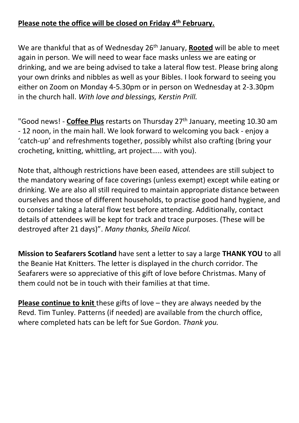#### **Please note the office will be closed on Friday 4th February.**

We are thankful that as of Wednesday 26th January, **Rooted** will be able to meet again in person. We will need to wear face masks unless we are eating or drinking, and we are being advised to take a lateral flow test. Please bring along your own drinks and nibbles as well as your Bibles. I look forward to seeing you either on Zoom on Monday 4-5.30pm or in person on Wednesday at 2-3.30pm in the church hall. *With love and blessings, Kerstin Prill.*

"Good news! - **Coffee Plus** restarts on Thursday 27th January, meeting 10.30 am - 12 noon, in the main hall. We look forward to welcoming you back - enjoy a 'catch-up' and refreshments together, possibly whilst also crafting (bring your crocheting, knitting, whittling, art project….. with you).

Note that, although restrictions have been eased, attendees are still subject to the mandatory wearing of face coverings (unless exempt) except while eating or drinking. We are also all still required to maintain appropriate distance between ourselves and those of different households, to practise good hand hygiene, and to consider taking a lateral flow test before attending. Additionally, contact details of attendees will be kept for track and trace purposes. (These will be destroyed after 21 days)". *Many thanks, Sheila Nicol.*

**Mission to Seafarers Scotland** have sent a letter to say a large **THANK YOU** to all the Beanie Hat Knitters. The letter is displayed in the church corridor. The Seafarers were so appreciative of this gift of love before Christmas. Many of them could not be in touch with their families at that time.

**Please continue to knit** these gifts of love – they are always needed by the Revd. Tim Tunley. Patterns (if needed) are available from the church office, where completed hats can be left for Sue Gordon. *Thank you.*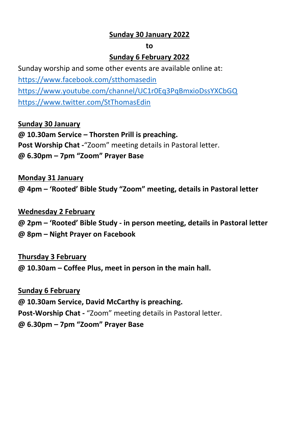#### **Sunday 30 January 2022**

#### **to**

#### **Sunday 6 February 2022**

Sunday worship and some other events are available online at: <https://www.facebook.com/stthomasedin> <https://www.youtube.com/channel/UC1r0Eq3PqBmxioDssYXCbGQ> <https://www.twitter.com/StThomasEdin>

#### **Sunday 30 January**

**@ 10.30am Service – Thorsten Prill is preaching. Post Worship Chat -**"Zoom" meeting details in Pastoral letter. **@ 6.30pm – 7pm "Zoom" Prayer Base**

#### **Monday 31 January**

**@ 4pm – 'Rooted' Bible Study "Zoom" meeting, details in Pastoral letter**

#### **Wednesday 2 February**

**@ 2pm – 'Rooted' Bible Study - in person meeting, details in Pastoral letter @ 8pm – Night Prayer on Facebook** 

#### **Thursday 3 February**

**@ 10.30am – Coffee Plus, meet in person in the main hall.**

#### **Sunday 6 February**

**@ 10.30am Service, David McCarthy is preaching. Post-Worship Chat -** "Zoom" meeting details in Pastoral letter. **@ 6.30pm – 7pm "Zoom" Prayer Base**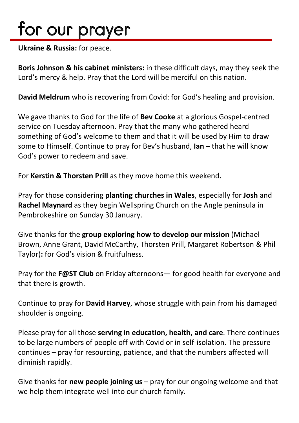## for our prayer

**Ukraine & Russia:** for peace.

**Boris Johnson & his cabinet ministers:** in these difficult days, may they seek the Lord's mercy & help. Pray that the Lord will be merciful on this nation.

**David Meldrum** who is recovering from Covid: for God's healing and provision.

We gave thanks to God for the life of **Bev Cooke** at a glorious Gospel-centred service on Tuesday afternoon. Pray that the many who gathered heard something of God's welcome to them and that it will be used by Him to draw some to Himself. Continue to pray for Bev's husband, **Ian –** that he will know God's power to redeem and save.

For **Kerstin & Thorsten Prill** as they move home this weekend.

Pray for those considering **planting churches in Wales**, especially for **Josh** and **Rachel Maynard** as they begin Wellspring Church on the Angle peninsula in Pembrokeshire on Sunday 30 January.

Give thanks for the **group exploring how to develop our mission** (Michael Brown, Anne Grant, David McCarthy, Thorsten Prill, Margaret Robertson & Phil Taylor)**:** for God's vision & fruitfulness.

Pray for the **F@ST Club** on Friday afternoons— for good health for everyone and that there is growth.

Continue to pray for **David Harvey**, whose struggle with pain from his damaged shoulder is ongoing.

Please pray for all those **serving in education, health, and care**. There continues to be large numbers of people off with Covid or in self-isolation. The pressure continues – pray for resourcing, patience, and that the numbers affected will diminish rapidly.

Give thanks for **new people joining us** – pray for our ongoing welcome and that we help them integrate well into our church family.